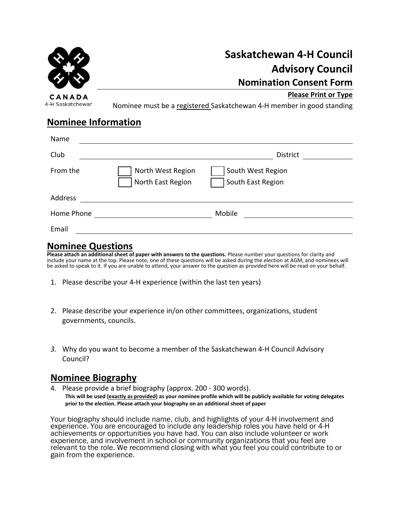

CANADA 4-H Saskatchewan **Saskatchewan 4-H Council Advisory Council Nomination Consent Form**

**Please Print or Type**

Nominee must be a registered Saskatchewan 4-H member in good standing

### **Nominee Information**

| Name       |                                        |                                        |  |
|------------|----------------------------------------|----------------------------------------|--|
| Club       |                                        | <b>District</b>                        |  |
| From the   | North West Region<br>North East Region | South West Region<br>South East Region |  |
| Address    |                                        |                                        |  |
| Home Phone |                                        | Mobile                                 |  |
| Email      |                                        |                                        |  |

### **Nominee Questions**

**Please attach an additional sheet of paper with answers to the questions.** Please number your questions for clarity and include your name at the top. Please note, one of these questions will be asked during the election at AGM, and nominees will be asked to speak to it. If you are unable to attend, your answer to the question as provided here will be read on your behalf.

- 1. Please describe your 4-H experience (within the last ten years)
- 2. Please describe your experience in/on other committees, organizations, student governments, councils.
- *3.* Why do you want to become a member of the Saskatchewan 4-H Council Advisory Council?

## **Nominee Biography**

4. Please provide a brief biography (approx. 200 - 300 words). **This will be used (exactly as provided) as your nominee profile which will be publicly available for voting delegates prior to the election. Please attach your biography on an additional sheet of paper**

Your biography should include name, club, and highlights of your 4-H involvement and experience. You are encouraged to include any leadership roles you have held or 4-H achievements or opportunities you have had. You can also include volunteer or work experience, and involvement in school or community organizations that you feel are relevant to the role. We recommend closing with what you feel you could contribute to or gain from the experience.